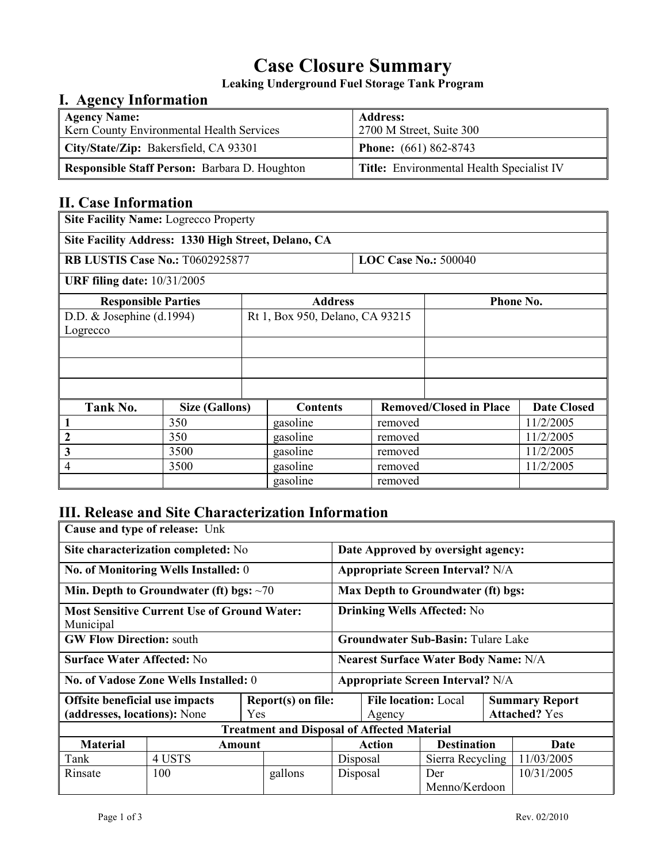# **Case Closure Summary**

**Leaking Underground Fuel Storage Tank Program** 

## **I. Agency Information**

| <b>Agency Name:</b><br>Kern County Environmental Health Services | <b>Address:</b><br>2700 M Street, Suite 300      |
|------------------------------------------------------------------|--------------------------------------------------|
| City/State/Zip: Bakersfield, CA 93301                            | <b>Phone:</b> $(661) 862-8743$                   |
| <b>Responsible Staff Person: Barbara D. Houghton</b>             | <b>Title:</b> Environmental Health Specialist IV |

# **II. Case Information**

| <b>Site Facility Name: Logrecco Property</b>        |                                                                  |  |                             |         |                                |                    |  |
|-----------------------------------------------------|------------------------------------------------------------------|--|-----------------------------|---------|--------------------------------|--------------------|--|
| Site Facility Address: 1330 High Street, Delano, CA |                                                                  |  |                             |         |                                |                    |  |
| <b>RB LUSTIS Case No.: T0602925877</b>              |                                                                  |  | <b>LOC Case No.: 500040</b> |         |                                |                    |  |
| <b>URF filing date: 10/31/2005</b>                  |                                                                  |  |                             |         |                                |                    |  |
|                                                     | <b>Phone No.</b><br><b>Responsible Parties</b><br><b>Address</b> |  |                             |         |                                |                    |  |
|                                                     | D.D. $&$ Josephine (d.1994)<br>Rt 1, Box 950, Delano, CA 93215   |  |                             |         |                                |                    |  |
| Logrecco                                            |                                                                  |  |                             |         |                                |                    |  |
|                                                     |                                                                  |  |                             |         |                                |                    |  |
|                                                     |                                                                  |  |                             |         |                                |                    |  |
|                                                     |                                                                  |  |                             |         |                                |                    |  |
| Tank No.                                            | <b>Size (Gallons)</b>                                            |  | <b>Contents</b>             |         | <b>Removed/Closed in Place</b> | <b>Date Closed</b> |  |
| 1                                                   | 350                                                              |  | gasoline                    | removed |                                | 11/2/2005          |  |
| 2                                                   | 350                                                              |  | gasoline                    | removed |                                | 11/2/2005          |  |
| 3                                                   | 3500                                                             |  | gasoline                    | removed |                                | 11/2/2005          |  |
| 4                                                   | 3500                                                             |  | gasoline                    | removed |                                | 11/2/2005          |  |
|                                                     |                                                                  |  | gasoline                    | removed |                                |                    |  |

# **III. Release and Site Characterization Information**

| Cause and type of release: Unk                                                                     |        |                                             |                                         |               |                                               |                      |      |            |
|----------------------------------------------------------------------------------------------------|--------|---------------------------------------------|-----------------------------------------|---------------|-----------------------------------------------|----------------------|------|------------|
| Site characterization completed: No                                                                |        |                                             | Date Approved by oversight agency:      |               |                                               |                      |      |            |
| No. of Monitoring Wells Installed: 0                                                               |        |                                             | <b>Appropriate Screen Interval?</b> N/A |               |                                               |                      |      |            |
| Min. Depth to Groundwater (ft) bgs: $\sim$ 70                                                      |        |                                             | Max Depth to Groundwater (ft) bgs:      |               |                                               |                      |      |            |
| <b>Most Sensitive Current Use of Ground Water:</b><br>Municipal                                    |        |                                             | <b>Drinking Wells Affected: No</b>      |               |                                               |                      |      |            |
| <b>GW Flow Direction: south</b>                                                                    |        | <b>Groundwater Sub-Basin: Tulare Lake</b>   |                                         |               |                                               |                      |      |            |
| <b>Surface Water Affected: No</b>                                                                  |        | <b>Nearest Surface Water Body Name: N/A</b> |                                         |               |                                               |                      |      |            |
| <b>No. of Vadose Zone Wells Installed: 0</b>                                                       |        | <b>Appropriate Screen Interval?</b> N/A     |                                         |               |                                               |                      |      |            |
| Report(s) on file:<br><b>Offsite beneficial use impacts</b><br>(addresses, locations): None<br>Yes |        | <b>File location: Local</b><br>Agency       |                                         |               | <b>Summary Report</b><br><b>Attached? Yes</b> |                      |      |            |
| <b>Treatment and Disposal of Affected Material</b>                                                 |        |                                             |                                         |               |                                               |                      |      |            |
| <b>Material</b>                                                                                    | Amount |                                             |                                         | <b>Action</b> | <b>Destination</b>                            |                      | Date |            |
| Tank                                                                                               | 4 USTS |                                             |                                         | Disposal      |                                               | Sierra Recycling     |      | 11/03/2005 |
| Rinsate                                                                                            | 100    |                                             | gallons                                 | Disposal      |                                               | Der<br>Menno/Kerdoon |      | 10/31/2005 |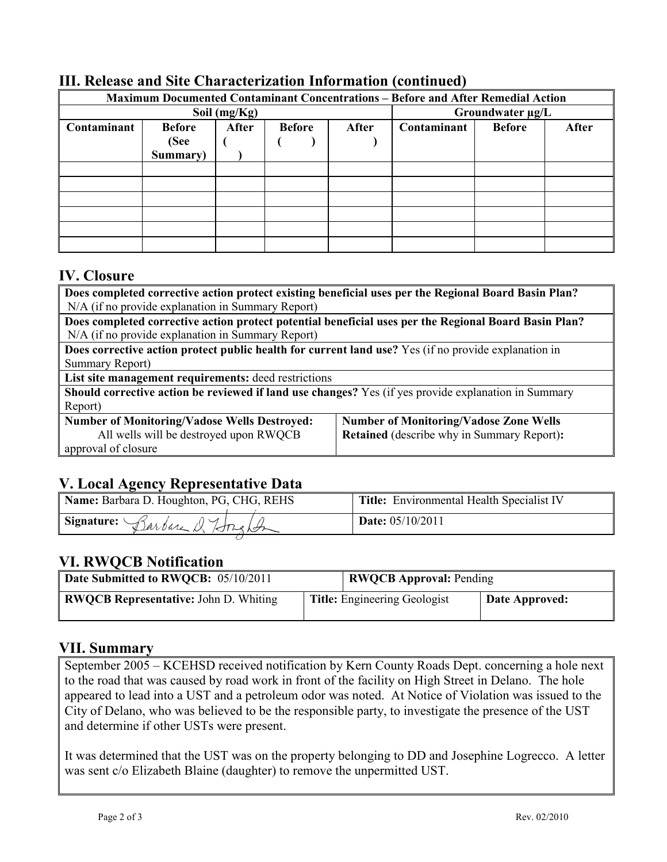| <b>Maximum Documented Contaminant Concentrations - Before and After Remedial Action</b> |               |       |               |       |                  |               |       |
|-----------------------------------------------------------------------------------------|---------------|-------|---------------|-------|------------------|---------------|-------|
|                                                                                         | Soil (mg/Kg)  |       |               |       | Groundwater µg/L |               |       |
| Contaminant                                                                             | <b>Before</b> | After | <b>Before</b> | After | Contaminant      | <b>Before</b> | After |
|                                                                                         | (See          |       |               |       |                  |               |       |
|                                                                                         | Summary)      |       |               |       |                  |               |       |
|                                                                                         |               |       |               |       |                  |               |       |
|                                                                                         |               |       |               |       |                  |               |       |
|                                                                                         |               |       |               |       |                  |               |       |
|                                                                                         |               |       |               |       |                  |               |       |
|                                                                                         |               |       |               |       |                  |               |       |
|                                                                                         |               |       |               |       |                  |               |       |

### **III. Release and Site Characterization Information (continued)**

#### **IV. Closure**

| Does completed corrective action protect existing beneficial uses per the Regional Board Basin Plan?  |                                                   |  |  |  |  |
|-------------------------------------------------------------------------------------------------------|---------------------------------------------------|--|--|--|--|
| N/A (if no provide explanation in Summary Report)                                                     |                                                   |  |  |  |  |
| Does completed corrective action protect potential beneficial uses per the Regional Board Basin Plan? |                                                   |  |  |  |  |
| N/A (if no provide explanation in Summary Report)                                                     |                                                   |  |  |  |  |
| Does corrective action protect public health for current land use? Yes (if no provide explanation in  |                                                   |  |  |  |  |
| Summary Report)                                                                                       |                                                   |  |  |  |  |
| List site management requirements: deed restrictions                                                  |                                                   |  |  |  |  |
| Should corrective action be reviewed if land use changes? Yes (if yes provide explanation in Summary  |                                                   |  |  |  |  |
| Report)                                                                                               |                                                   |  |  |  |  |
| <b>Number of Monitoring/Vadose Wells Destroyed:</b>                                                   | <b>Number of Monitoring/Vadose Zone Wells</b>     |  |  |  |  |
| All wells will be destroyed upon RWQCB                                                                | <b>Retained</b> (describe why in Summary Report): |  |  |  |  |

#### approval of closure

## **V. Local Agency Representative Data**

| Name: Barbara D. Houghton, PG, CHG, REHS | Title: Environmental Health Specialist IV |
|------------------------------------------|-------------------------------------------|
| Signature: Barbare & Longton             | <b>Date:</b> 05/10/2011                   |
|                                          |                                           |

## **VI. RWQCB Notification**

| Date Submitted to RWQCB: 05/10/2011          |                                     | <b>RWQCB Approval: Pending</b> |  |  |
|----------------------------------------------|-------------------------------------|--------------------------------|--|--|
| <b>RWQCB Representative: John D. Whiting</b> | <b>Title:</b> Engineering Geologist | Date Approved:                 |  |  |

#### **VII. Summary**

September 2005 – KCEHSD received notification by Kern County Roads Dept. concerning a hole next to the road that was caused by road work in front of the facility on High Street in Delano. The hole appeared to lead into a UST and a petroleum odor was noted. At Notice of Violation was issued to the City of Delano, who was believed to be the responsible party, to investigate the presence of the UST and determine if other USTs were present.

It was determined that the UST was on the property belonging to DD and Josephine Logrecco. A letter was sent c/o Elizabeth Blaine (daughter) to remove the unpermitted UST.